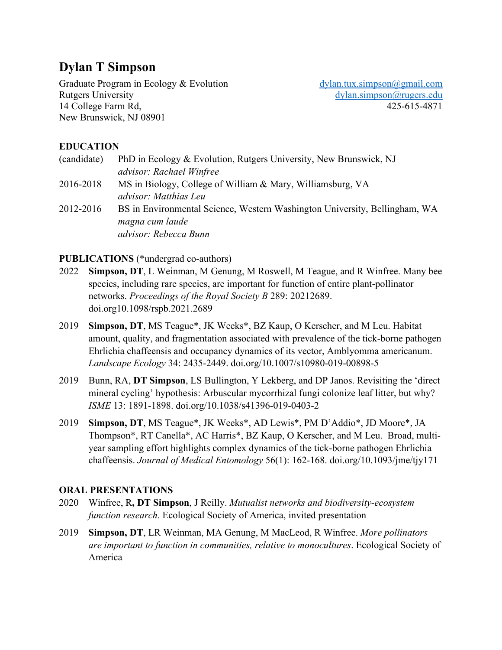# **Dylan T Simpson**

Graduate Program in Ecology & Evolution [dylan.tux.simpson@gmail.com](mailto:dylan.tux.simpson@gmail.com) Rutgers University dylan.simpson@rugers.edu 14 College Farm Rd, 425-615-4871 New Brunswick, NJ 08901

## **EDUCATION**

| (candidate) | PhD in Ecology & Evolution, Rutgers University, New Brunswick, NJ          |
|-------------|----------------------------------------------------------------------------|
|             | advisor: Rachael Winfree                                                   |
| 2016-2018   | MS in Biology, College of William & Mary, Williamsburg, VA                 |
|             | advisor: Matthias Leu                                                      |
| 2012-2016   | BS in Environmental Science, Western Washington University, Bellingham, WA |
|             | magna cum laude                                                            |
|             | advisor: Rebecca Bunn                                                      |
|             |                                                                            |

#### **PUBLICATIONS** (\*undergrad co-authors)

- 2022 **Simpson, DT**, L Weinman, M Genung, M Roswell, M Teague, and R Winfree. Many bee species, including rare species, are important for function of entire plant-pollinator networks. *Proceedings of the Royal Society B* 289: 20212689. [doi.org10.1098/rspb.2021.2689](http://doi.org/10.1098/rspb.2021.2689)
- 2019 **Simpson, DT**, MS Teague\*, JK Weeks\*, BZ Kaup, O Kerscher, and M Leu. Habitat amount, quality, and fragmentation associated with prevalence of the tick-borne pathogen Ehrlichia chaffeensis and occupancy dynamics of its vector, Amblyomma americanum. *Landscape Ecology* 34: 2435-2449. [doi.org/10.1007/s10980-019-00898-5](http://doi.org/10.1007/s10980-019-00898-5)
- 2019 Bunn, RA, **DT Simpson**, LS Bullington, Y Lekberg, and DP Janos. Revisiting the 'direct mineral cycling' hypothesis: Arbuscular mycorrhizal fungi colonize leaf litter, but why? *ISME* 13: 1891-1898. [doi.org/10.1038/s41396-019-0403-2](http://doi.org/10.1038/s41396-019-0403-2)
- 2019 **Simpson, DT**, MS Teague\*, JK Weeks\*, AD Lewis\*, PM D'Addio\*, JD Moore\*, JA Thompson\*, RT Canella\*, AC Harris\*, BZ Kaup, O Kerscher, and M Leu. Broad, multiyear sampling effort highlights complex dynamics of the tick-borne pathogen Ehrlichia chaffeensis. *Journal of Medical Entomology* 56(1): 162-168. [doi.org/10.1093/jme/tjy171](http://doi.org/10.1093/jme/tjy171)

#### **ORAL PRESENTATIONS**

- 2020Winfree, R**, DT Simpson**, J Reilly. *Mutualist networks and biodiversity-ecosystem function research*. Ecological Society of America, invited presentation
- 2019 **Simpson, DT**, LR Weinman, MA Genung, M MacLeod, R Winfree. *More pollinators are important to function in communities, relative to monocultures*. Ecological Society of America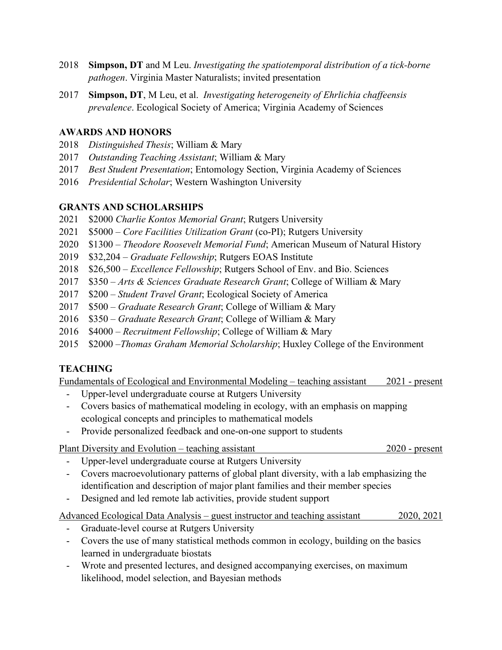- 2018 **Simpson, DT** and M Leu. *Investigating the spatiotemporal distribution of a tick-borne pathogen*. Virginia Master Naturalists; invited presentation
- 2017 **Simpson, DT**, M Leu, et al. *Investigating heterogeneity of Ehrlichia chaffeensis prevalence*. Ecological Society of America; Virginia Academy of Sciences

## **AWARDS AND HONORS**

- 2018 *Distinguished Thesis*; William & Mary
- 2017 *Outstanding Teaching Assistant*; William & Mary
- 2017 *Best Student Presentation*; Entomology Section, Virginia Academy of Sciences
- 2016 *Presidential Scholar*; Western Washington University

### **GRANTS AND SCHOLARSHIPS**

- 2021 \$2000 *Charlie Kontos Memorial Grant*; Rutgers University
- 2021 \$5000 *Core Facilities Utilization Grant* (co-PI); Rutgers University
- 2020 \$1300 *Theodore Roosevelt Memorial Fund*; American Museum of Natural History
- 2019 \$32,204 *Graduate Fellowship*; Rutgers EOAS Institute
- 2018 \$26,500 *Excellence Fellowship*; Rutgers School of Env. and Bio. Sciences
- 2017 \$350 *Arts & Sciences Graduate Research Grant*; College of William & Mary
- 2017 \$200 *Student Travel Grant*; Ecological Society of America
- 2017 \$500 *Graduate Research Grant*; College of William & Mary
- 2016 \$350 *Graduate Research Grant*; College of William & Mary
- 2016 \$4000 *Recruitment Fellowship*; College of William & Mary
- 2015 \$2000 –*Thomas Graham Memorial Scholarship*; Huxley College of the Environment

## **TEACHING**

Fundamentals of Ecological and Environmental Modeling – teaching assistant 2021 - present

- Upper-level undergraduate course at Rutgers University
- Covers basics of mathematical modeling in ecology, with an emphasis on mapping ecological concepts and principles to mathematical models
- Provide personalized feedback and one-on-one support to students

Plant Diversity and Evolution – teaching assistant 2020 - present

- Upper-level undergraduate course at Rutgers University
- Covers macroevolutionary patterns of global plant diversity, with a lab emphasizing the identification and description of major plant families and their member species
- Designed and led remote lab activities, provide student support

Advanced Ecological Data Analysis – guest instructor and teaching assistant 2020, 2021

- Graduate-level course at Rutgers University
- Covers the use of many statistical methods common in ecology, building on the basics learned in undergraduate biostats
- Wrote and presented lectures, and designed accompanying exercises, on maximum likelihood, model selection, and Bayesian methods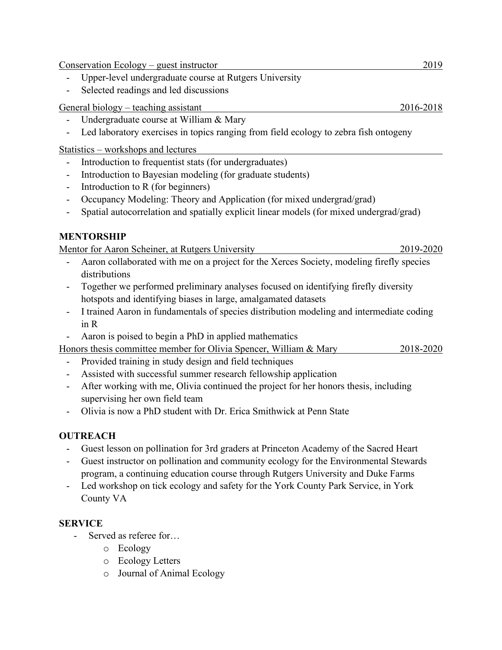Conservation Ecology – guest instructor 2019

- Upper-level undergraduate course at Rutgers University
- Selected readings and led discussions

General biology – teaching assistant 2016-2018

- Undergraduate course at William & Mary
- Led laboratory exercises in topics ranging from field ecology to zebra fish ontogeny

Statistics – workshops and lectures

- Introduction to frequentist stats (for undergraduates)
- Introduction to Bayesian modeling (for graduate students)
- Introduction to R (for beginners)
- Occupancy Modeling: Theory and Application (for mixed undergrad/grad)
- Spatial autocorrelation and spatially explicit linear models (for mixed undergrad/grad)

## **MENTORSHIP**

Mentor for Aaron Scheiner, at Rutgers University 2019-2020

- Aaron collaborated with me on a project for the Xerces Society, modeling firefly species distributions
- Together we performed preliminary analyses focused on identifying firefly diversity hotspots and identifying biases in large, amalgamated datasets
- I trained Aaron in fundamentals of species distribution modeling and intermediate coding in R
- Aaron is poised to begin a PhD in applied mathematics

Honors thesis committee member for Olivia Spencer, William & Mary 2018-2020

- Provided training in study design and field techniques
- Assisted with successful summer research fellowship application
- After working with me, Olivia continued the project for her honors thesis, including supervising her own field team
- Olivia is now a PhD student with Dr. Erica Smithwick at Penn State

## **OUTREACH**

- Guest lesson on pollination for 3rd graders at Princeton Academy of the Sacred Heart
- Guest instructor on pollination and community ecology for the Environmental Stewards program, a continuing education course through Rutgers University and Duke Farms
- Led workshop on tick ecology and safety for the York County Park Service, in York County VA

### **SERVICE**

- Served as referee for...
	- o Ecology
	- o Ecology Letters
	- o Journal of Animal Ecology